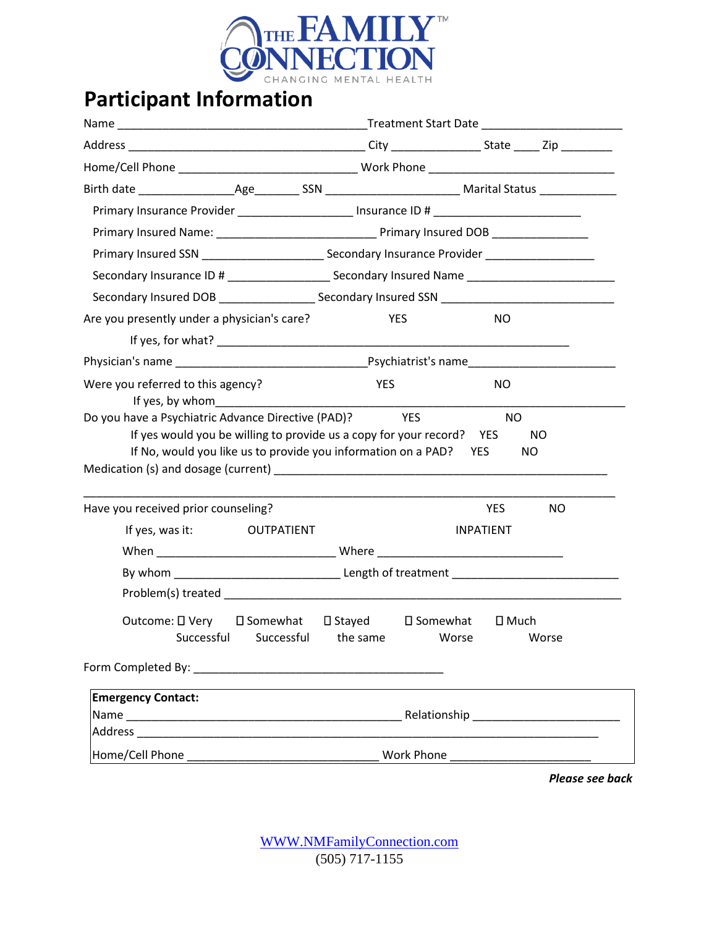

| Primary Insurance Provider _____________________ Insurance ID # _________________                                                                                                                |                                     |                  |            |            |  |
|--------------------------------------------------------------------------------------------------------------------------------------------------------------------------------------------------|-------------------------------------|------------------|------------|------------|--|
|                                                                                                                                                                                                  |                                     |                  |            |            |  |
|                                                                                                                                                                                                  |                                     |                  |            |            |  |
| Secondary Insurance ID # _________________________ Secondary Insured Name _________________________                                                                                              |                                     |                  |            |            |  |
| Secondary Insured DOB ________________________Secondary Insured SSN _______________________________                                                                                              |                                     |                  |            |            |  |
| Are you presently under a physician's care?                                                                                                                                                      | <b>YES</b>                          |                  | NO.        |            |  |
|                                                                                                                                                                                                  |                                     |                  |            |            |  |
|                                                                                                                                                                                                  |                                     |                  |            |            |  |
| Were you referred to this agency?<br>If yes, by whom                                                                                                                                             | <b>YES</b>                          |                  | NO.        |            |  |
| Do you have a Psychiatric Advance Directive (PAD)? YES<br>If yes would you be willing to provide us a copy for your record? YES<br>If No, would you like us to provide you information on a PAD? |                                     | <b>YES</b>       | <b>NO</b>  | NO.<br>NO. |  |
|                                                                                                                                                                                                  |                                     |                  |            |            |  |
| Have you received prior counseling?                                                                                                                                                              |                                     |                  | <b>YES</b> | NO.        |  |
| If yes, was it:<br>OUTPATIENT                                                                                                                                                                    |                                     | <b>INPATIENT</b> |            |            |  |
|                                                                                                                                                                                                  |                                     |                  |            |            |  |
|                                                                                                                                                                                                  |                                     |                  |            |            |  |
| Outcome: □ Very<br>□ Somewhat<br>Successful Successful the same Worse Worse                                                                                                                      | $\square$ Stayed $\square$ Somewhat |                  | □ Much     |            |  |
|                                                                                                                                                                                                  |                                     |                  |            |            |  |
| <b>Emergency Contact:</b>                                                                                                                                                                        |                                     |                  |            |            |  |
|                                                                                                                                                                                                  |                                     |                  |            |            |  |
|                                                                                                                                                                                                  |                                     |                  |            |            |  |

*Please see back*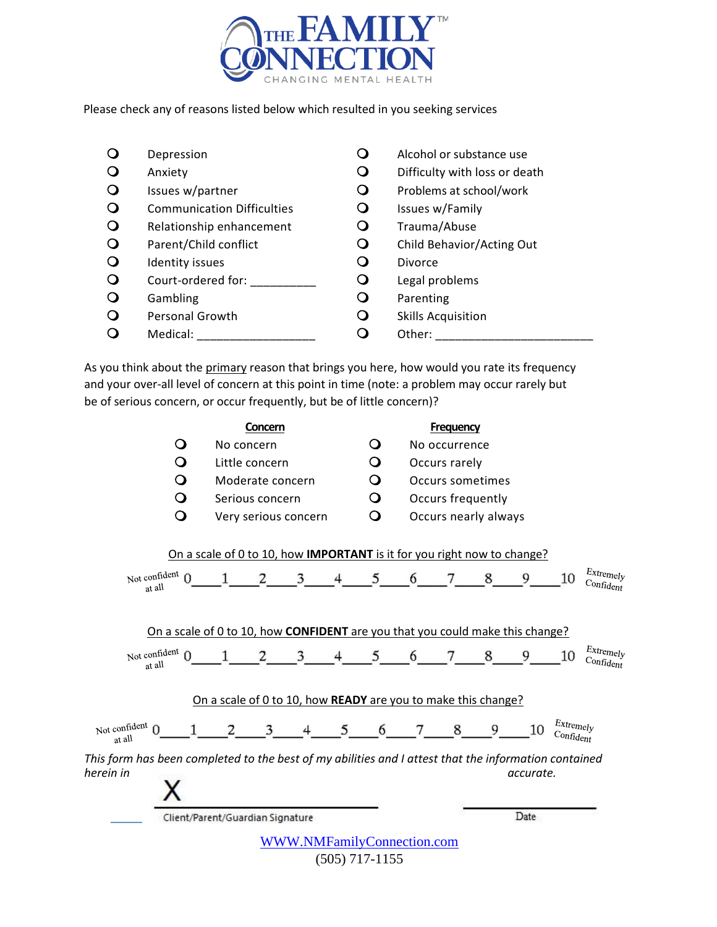

Please check any of reasons listed below which resulted in you seeking services

| O            | Depression                        | Ő           | Alcohol or substance use      |
|--------------|-----------------------------------|-------------|-------------------------------|
| $\mathbf Q$  | Anxiety                           | Ő           | Difficulty with loss or death |
| $\mathbf{O}$ | Issues w/partner                  | $\mathbf O$ | Problems at school/work       |
| $\mathbf{O}$ | <b>Communication Difficulties</b> | Ő           | Issues w/Family               |
| $\mathbf{O}$ | Relationship enhancement          | $\mathbf Q$ | Trauma/Abuse                  |
| $\circ$      | Parent/Child conflict             | $\mathbf Q$ | Child Behavior/Acting Out     |
| $\mathbf{O}$ | Identity issues                   | O           | Divorce                       |
| $\mathbf{O}$ | Court-ordered for:                | O           | Legal problems                |
| $\mathbf{O}$ | Gambling                          | $\mathbf Q$ | Parenting                     |
| $\mathbf{O}$ | Personal Growth                   | O           | <b>Skills Acquisition</b>     |
|              | Medical:                          |             | Other:                        |

As you think about the primary reason that brings you here, how would you rate its frequency and your over-all level of concern at this point in time (note: a problem may occur rarely but be of serious concern, or occur frequently, but be of little concern)?

|                                                                                                                   | Concern                                                                                   |                                   |   |   | <b>Frequency</b>     |                   |           |                                    |                                    |
|-------------------------------------------------------------------------------------------------------------------|-------------------------------------------------------------------------------------------|-----------------------------------|---|---|----------------------|-------------------|-----------|------------------------------------|------------------------------------|
|                                                                                                                   | No concern                                                                                |                                   | 0 |   | No occurrence        |                   |           |                                    |                                    |
| O                                                                                                                 | Little concern                                                                            |                                   | O |   | Occurs rarely        |                   |           |                                    |                                    |
| O                                                                                                                 | Moderate concern                                                                          |                                   | Q |   |                      | Occurs sometimes  |           |                                    |                                    |
| O                                                                                                                 | Serious concern                                                                           |                                   | O |   |                      | Occurs frequently |           |                                    |                                    |
| O                                                                                                                 | Very serious concern                                                                      |                                   | O |   | Occurs nearly always |                   |           |                                    |                                    |
|                                                                                                                   | On a scale of 0 to 10, how IMPORTANT is it for you right now to change?                   |                                   |   |   |                      |                   |           |                                    | Extremely                          |
| Not confident $\Omega$<br>at all                                                                                  | 2                                                                                         | 3<br>4                            | 5 | 6 |                      | 8                 | 9         | 10                                 | Confident                          |
| Not confident<br>at all                                                                                           | On a scale of 0 to 10, how <b>CONFIDENT</b> are you that you could make this change?<br>2 | 3<br>4                            |   | 6 |                      | 8                 | 9         | 10                                 | Extremely<br>$\mathrm{Confid}$ ent |
|                                                                                                                   | On a scale of 0 to 10, how READY are you to make this change?                             |                                   |   |   |                      |                   |           |                                    |                                    |
| Not confident n<br>at all                                                                                         | 3                                                                                         | 5                                 | 6 |   | 8                    | 9                 | 10        | Extremely<br>Conf <sub>ident</sub> |                                    |
| This form has been completed to the best of my abilities and I attest that the information contained<br>herein in |                                                                                           |                                   |   |   |                      |                   | accurate. |                                    |                                    |
|                                                                                                                   | Client/Parent/Guardian Signature                                                          |                                   |   |   |                      |                   | Date      |                                    |                                    |
|                                                                                                                   |                                                                                           | <b>WWW.NMFamilyConnection.com</b> |   |   |                      |                   |           |                                    |                                    |

(505) 717-1155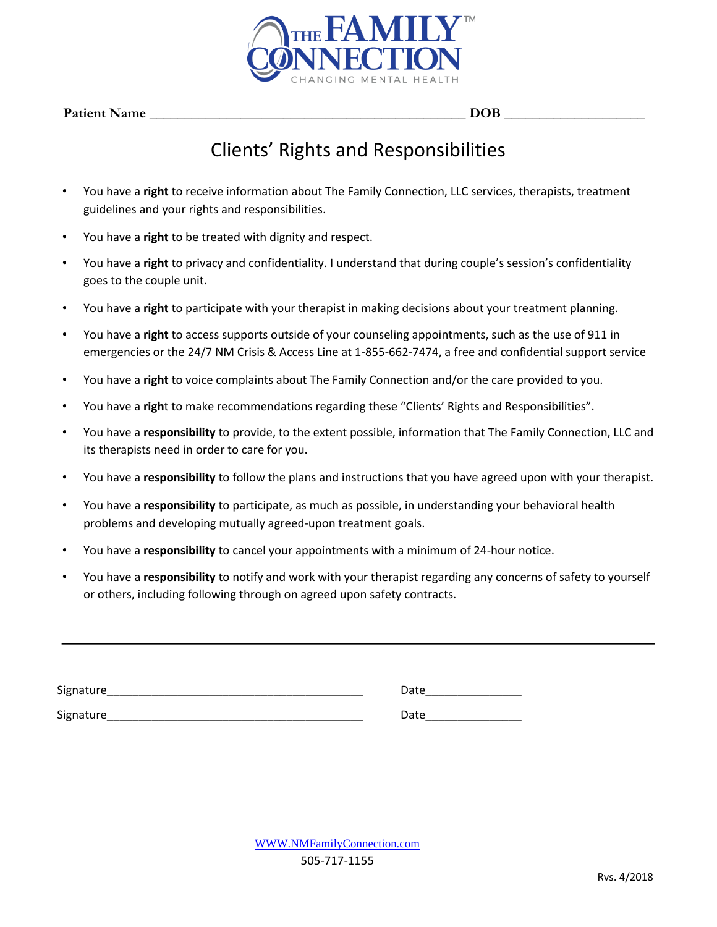

 $\bf{DOB}$ 

## Clients' Rights and Responsibilities

- You have a **right** to receive information about The Family Connection, LLC services, therapists, treatment guidelines and your rights and responsibilities.
- You have a **right** to be treated with dignity and respect.
- You have a **right** to privacy and confidentiality. I understand that during couple's session's confidentiality goes to the couple unit.
- You have a **right** to participate with your therapist in making decisions about your treatment planning.
- You have a **right** to access supports outside of your counseling appointments, such as the use of 911 in emergencies or the 24/7 NM Crisis & Access Line at 1-855-662-7474, a free and confidential support service
- You have a **right** to voice complaints about The Family Connection and/or the care provided to you.
- You have a **righ**t to make recommendations regarding these "Clients' Rights and Responsibilities".
- You have a **responsibility** to provide, to the extent possible, information that The Family Connection, LLC and its therapists need in order to care for you.
- You have a **responsibility** to follow the plans and instructions that you have agreed upon with your therapist.
- You have a **responsibility** to participate, as much as possible, in understanding your behavioral health problems and developing mutually agreed-upon treatment goals.
- You have a **responsibility** to cancel your appointments with a minimum of 24-hour notice.
- You have a **responsibility** to notify and work with your therapist regarding any concerns of safety to yourself or others, including following through on agreed upon safety contracts.

| Signature | Date |
|-----------|------|
| Signature | Date |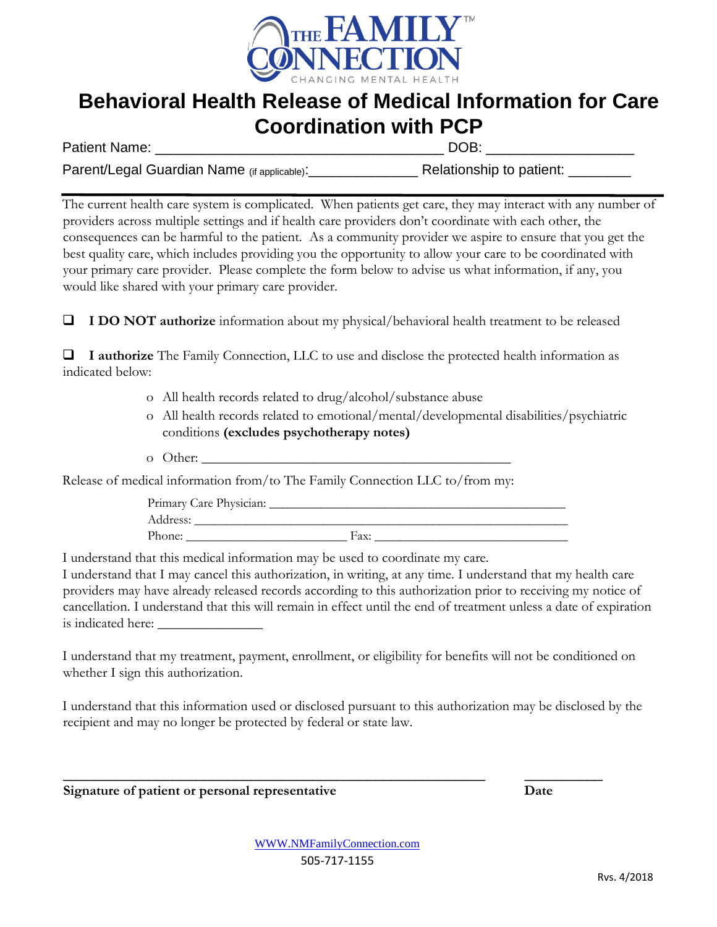

### **Behavioral Health Release of Medical Information for Care Coordination with PCP**

Patient Name: <br>
Patient Name:

Parent/Legal Guardian Name (if applicable):\_\_\_\_\_\_\_\_\_\_\_\_\_\_ Relationship to patient: \_\_\_\_\_\_\_\_

The current health care system is complicated. When patients get care, they may interact with any number of providers across multiple settings and if health care providers don't coordinate with each other, the consequences can be harmful to the patient. As a community provider we aspire to ensure that you get the best quality care, which includes providing you the opportunity to allow your care to be coordinated with your primary care provider. Please complete the form below to advise us what information, if any, you would like shared with your primary care provider.

❑ **I DO NOT authorize** information about my physical/behavioral health treatment to be released

❑ **I authorize** The Family Connection, LLC to use and disclose the protected health information as indicated below:

- o All health records related to drug/alcohol/substance abuse
- o All health records related to emotional/mental/developmental disabilities/psychiatric conditions **(excludes psychotherapy notes)**
- o Other:

Release of medical information from/to The Family Connection LLC to/from my:

Primary Care Physician: \_\_\_\_\_\_\_\_\_\_\_\_\_\_\_\_\_\_\_\_\_\_\_\_\_\_\_\_\_\_\_\_\_\_\_\_\_\_\_\_\_\_\_\_\_\_ Address: \_\_\_\_\_\_\_\_\_\_\_\_\_\_\_\_\_\_\_\_\_\_\_\_\_\_\_\_\_\_\_\_\_\_\_\_\_\_\_\_\_\_\_\_\_\_\_\_\_\_\_\_\_\_\_\_\_\_ Phone: \_\_\_\_\_\_\_\_\_\_\_\_\_\_\_\_\_\_\_\_\_\_\_\_\_ Fax: \_\_\_\_\_\_\_\_\_\_\_\_\_\_\_\_\_\_\_\_\_\_\_\_\_\_\_\_\_\_

I understand that this medical information may be used to coordinate my care.

I understand that I may cancel this authorization, in writing, at any time. I understand that my health care providers may have already released records according to this authorization prior to receiving my notice of cancellation. I understand that this will remain in effect until the end of treatment unless a date of expiration is indicated here:

I understand that my treatment, payment, enrollment, or eligibility for benefits will not be conditioned on whether I sign this authorization.

I understand that this information used or disclosed pursuant to this authorization may be disclosed by the recipient and may no longer be protected by federal or state law.

**Signature of patient or personal representative Date**

\_\_\_\_\_\_\_\_\_\_\_\_\_\_\_\_\_\_\_\_\_\_\_\_\_\_\_\_\_\_\_\_\_\_\_\_\_\_\_\_\_\_\_\_\_\_\_\_\_\_\_\_\_\_ \_\_\_\_\_\_\_\_\_\_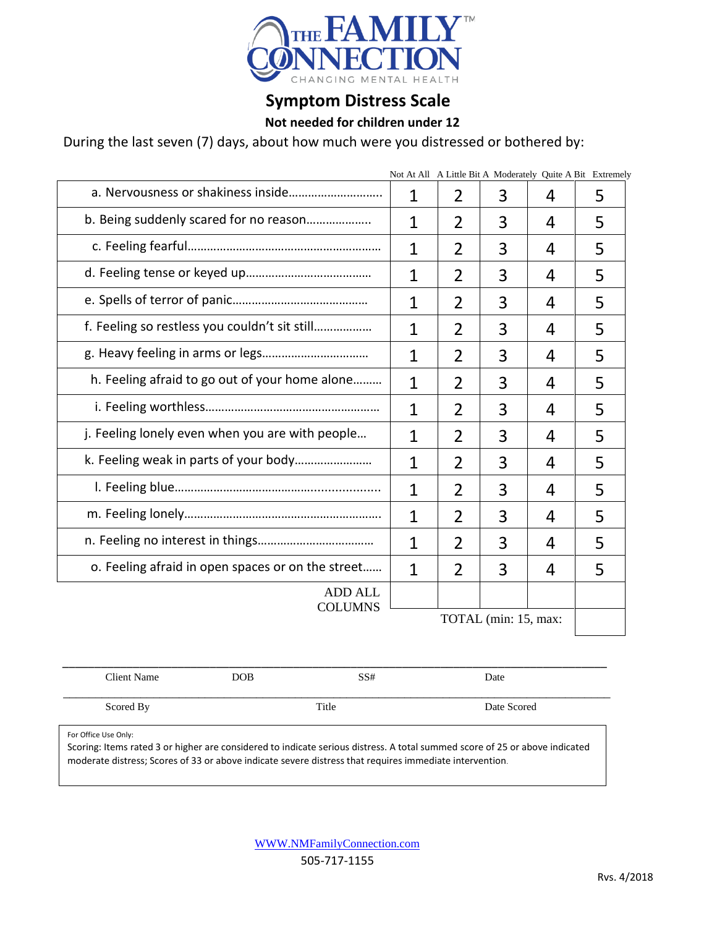

#### **Symptom Distress Scale**

#### **Not needed for children under 12**

During the last seven (7) days, about how much were you distressed or bothered by:

|                                                   | Not At All A Little Bit A Moderately Quite A Bit Extremely |                |   |   |   |
|---------------------------------------------------|------------------------------------------------------------|----------------|---|---|---|
|                                                   | 1                                                          | 2              | 3 | 4 | 5 |
| b. Being suddenly scared for no reason            | $\mathbf{1}$                                               | $\overline{2}$ | 3 | 4 | 5 |
|                                                   | $\overline{1}$                                             | $\overline{2}$ | 3 | 4 | 5 |
|                                                   | $\mathbf{1}$                                               | 2              | 3 | 4 | 5 |
|                                                   | 1                                                          | $\overline{2}$ | 3 | 4 | 5 |
| f. Feeling so restless you couldn't sit still     | 1                                                          | $\overline{2}$ | 3 | 4 | 5 |
|                                                   | $\mathbf 1$                                                | 2              | 3 | 4 | 5 |
| h. Feeling afraid to go out of your home alone    | 1                                                          | $\overline{2}$ | 3 | 4 | 5 |
|                                                   | $\mathbf{1}$                                               | $\overline{2}$ | 3 | 4 | 5 |
| j. Feeling lonely even when you are with people   | $\mathbf 1$                                                | 2              | 3 | 4 | 5 |
|                                                   | 1                                                          | $\overline{2}$ | 3 | 4 | 5 |
|                                                   | $\mathbf 1$                                                | $\overline{2}$ | 3 | 4 | 5 |
|                                                   | $\mathbf 1$                                                | 2              | 3 | 4 | 5 |
|                                                   | 1                                                          | $\mathfrak{D}$ | 3 | 4 | 5 |
| o. Feeling afraid in open spaces or on the street | 1                                                          | 2              | 3 | 4 | 5 |
| <b>ADD ALL</b><br><b>COLUMNS</b>                  |                                                            |                |   |   |   |
|                                                   | TOTAL (min: 15, max:                                       |                |   |   |   |

| Client Name | DOB | SS#   | Date        |  |
|-------------|-----|-------|-------------|--|
|             |     |       |             |  |
| Scored By   |     | Title | Date Scored |  |

For Office Use Only:

Scoring: Items rated 3 or higher are considered to indicate serious distress. A total summed score of 25 or above indicated moderate distress; Scores of 33 or above indicate severe distress that requires immediate intervention.